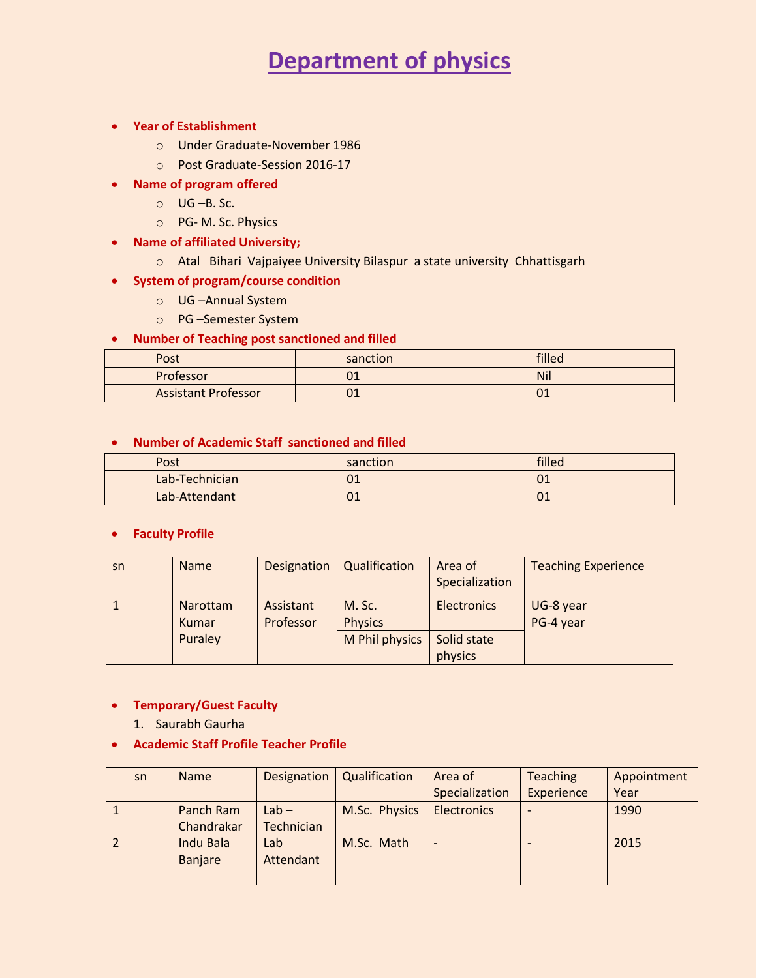# **Department of physics**

- **Year of Establishment**
	- o Under Graduate-November 1986
	- o Post Graduate-Session 2016-17
- **Name of program offered**
	- $O$  **UG –B. Sc.**
	- o PG- M. Sc. Physics
- **Name of affiliated University;**
	- o Atal Bihari Vajpaiyee University Bilaspur a state university Chhattisgarh
- **•** System of program/course condition
	- o UG –Annual System
	- o PG –Semester System

#### **Number of Teaching post sanctioned and filled**

| Post                       | sanction | filled     |
|----------------------------|----------|------------|
| Professor                  | UT       | <b>Nil</b> |
| <b>Assistant Professor</b> | UT       |            |

#### **Number of Academic Staff sanctioned and filled**

| Post           | sanction | filled |
|----------------|----------|--------|
| Lab-Technician | ∩1<br>UI |        |
| Lab-Attendant  | ∩1<br>UT |        |

#### **Faculty Profile**

| sn | <b>Name</b>       | Designation            | Qualification            | Area of<br>Specialization | <b>Teaching Experience</b> |
|----|-------------------|------------------------|--------------------------|---------------------------|----------------------------|
|    | Narottam<br>Kumar | Assistant<br>Professor | M. Sc.<br><b>Physics</b> | <b>Electronics</b>        | UG-8 year<br>PG-4 year     |
|    | Puraley           |                        | M Phil physics           | Solid state<br>physics    |                            |

#### **Temporary/Guest Faculty**

- 1. Saurabh Gaurha
- **Academic Staff Profile Teacher Profile**

| sn | <b>Name</b>      | Designation | Qualification | Area of            | <b>Teaching</b>          | Appointment |
|----|------------------|-------------|---------------|--------------------|--------------------------|-------------|
|    |                  |             |               | Specialization     | Experience               | Year        |
|    | Panch Ram        | $Lab -$     | M.Sc. Physics | <b>Electronics</b> | $\overline{\phantom{0}}$ | 1990        |
|    | Chandrakar       | Technician  |               |                    |                          |             |
|    | <b>Indu Bala</b> | Lab         | M.Sc. Math    |                    |                          | 2015        |
|    | <b>Banjare</b>   | Attendant   |               |                    |                          |             |
|    |                  |             |               |                    |                          |             |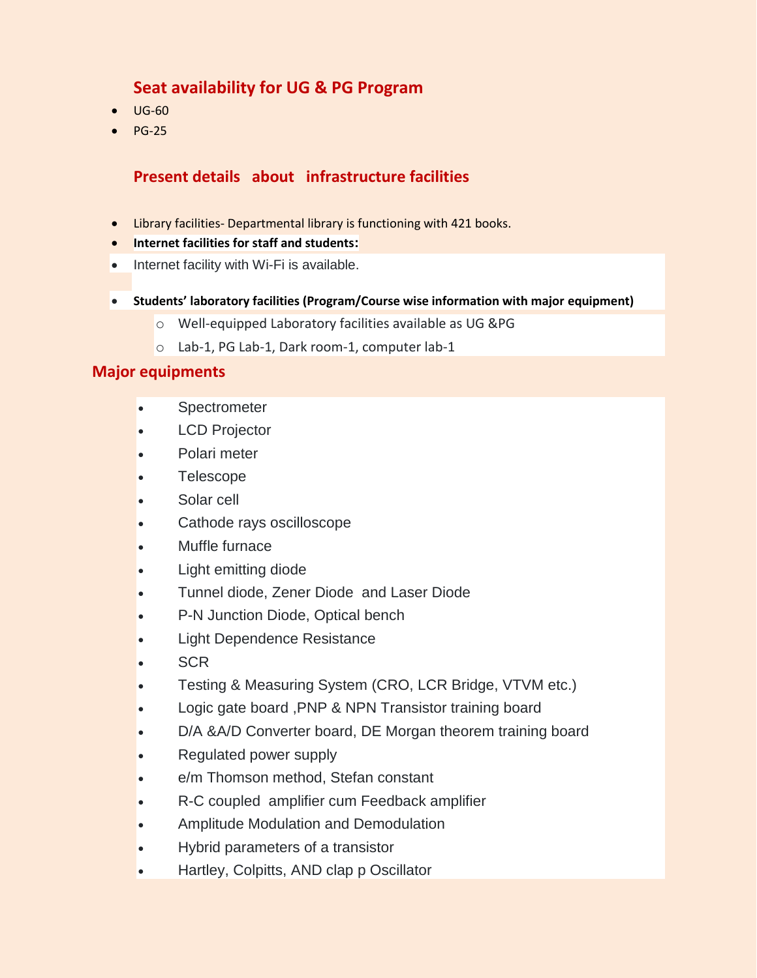## **Seat availability for UG & PG Program**

- $\bullet$  UG-60
- $\bullet$  PG-25

## **Present details about infrastructure facilities**

- Library facilities- Departmental library is functioning with 421 books.
- **Internet facilities for staff and students:**
- Internet facility with Wi-Fi is available.
- **Students' laboratory facilities (Program/Course wise information with major equipment)**
	- o Well-equipped Laboratory facilities available as UG &PG
	- o Lab-1, PG Lab-1, Dark room-1, computer lab-1

### **Major equipments**

- Spectrometer
- LCD Projector
- Polari meter
- Telescope
- Solar cell
- Cathode rays oscilloscope
- Muffle furnace
- Light emitting diode
- Tunnel diode, Zener Diode and Laser Diode
- P-N Junction Diode, Optical bench
- Light Dependence Resistance
- **SCR**
- Testing & Measuring System (CRO, LCR Bridge, VTVM etc.)
- Logic gate board ,PNP & NPN Transistor training board
- D/A &A/D Converter board, DE Morgan theorem training board
- Regulated power supply
- e/m Thomson method, Stefan constant
- R-C coupled amplifier cum Feedback amplifier
- Amplitude Modulation and Demodulation
- Hybrid parameters of a transistor
- Hartley, Colpitts, AND clap p Oscillator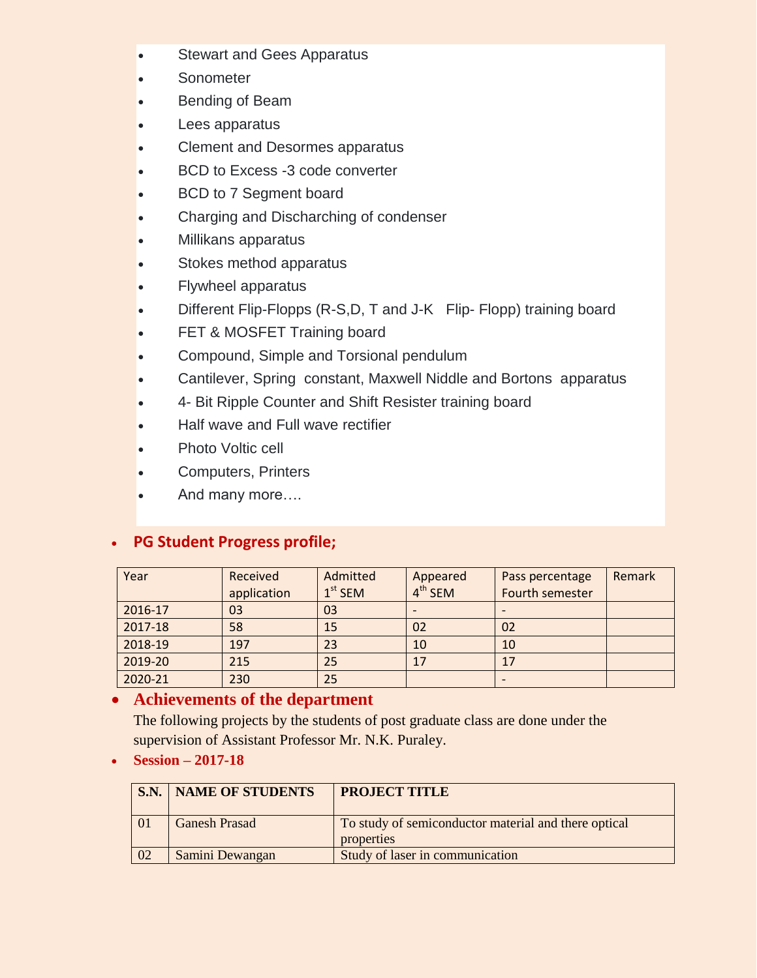- Stewart and Gees Apparatus
- **Sonometer**
- Bending of Beam
- Lees apparatus
- Clement and Desormes apparatus
- BCD to Excess -3 code converter
- BCD to 7 Segment board
- Charging and Discharching of condenser
- Millikans apparatus
- Stokes method apparatus
- Flywheel apparatus
- Different Flip-Flopps (R-S,D, T and J-K Flip- Flopp) training board
- FET & MOSFET Training board
- Compound, Simple and Torsional pendulum
- Cantilever, Spring constant, Maxwell Niddle and Bortons apparatus
- 4- Bit Ripple Counter and Shift Resister training board
- Half wave and Full wave rectifier
- Photo Voltic cell
- Computers, Printers
- And many more….

## **PG Student Progress profile;**

| Year    | Received    | Admitted  | Appeared  | Pass percentage | <b>Remark</b> |
|---------|-------------|-----------|-----------|-----------------|---------------|
|         | application | $1st$ SEM | $4th$ SEM | Fourth semester |               |
| 2016-17 | 03          | 03        |           |                 |               |
| 2017-18 | 58          | 15        | 02        | 02              |               |
| 2018-19 | 197         | 23        | 10        | 10              |               |
| 2019-20 | 215         | 25        | 17        | 17              |               |
| 2020-21 | 230         | 25        |           |                 |               |

## **Achievements of the department**

The following projects by the students of post graduate class are done under the supervision of Assistant Professor Mr. N.K. Puraley.

**Session – 2017-18**

| S.N. | <b>NAME OF STUDENTS</b> | <b>PROJECT TITLE</b>                                               |
|------|-------------------------|--------------------------------------------------------------------|
|      | <b>Ganesh Prasad</b>    | To study of semiconductor material and there optical<br>properties |
| 02   | Samini Dewangan         | Study of laser in communication                                    |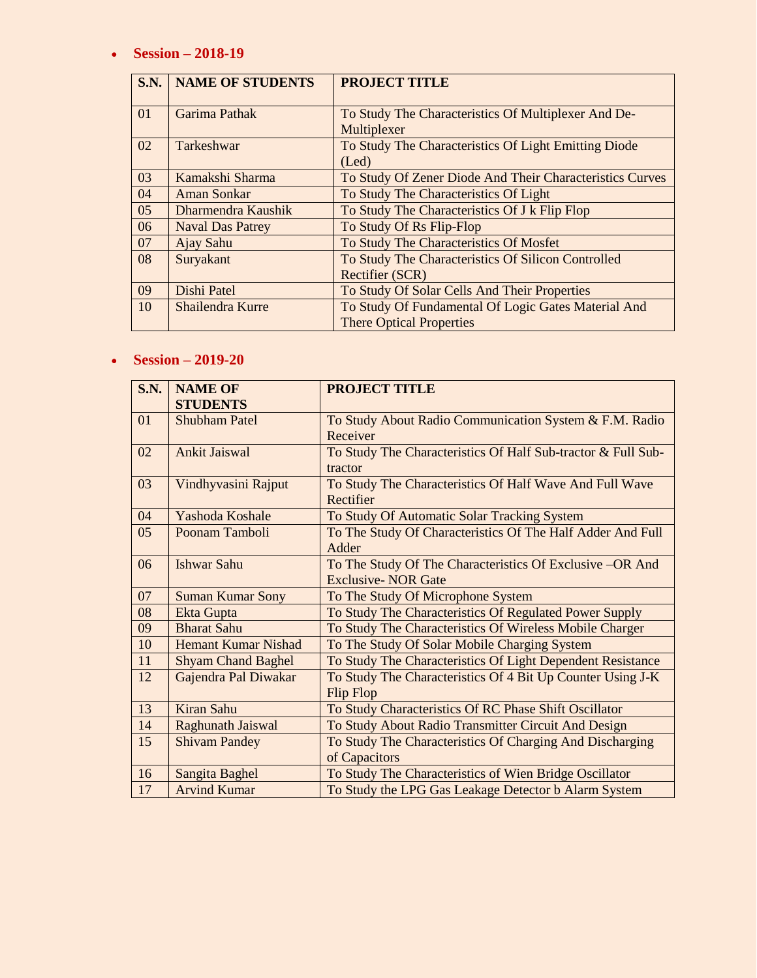#### **Session – 2018-19**

| S.N. | <b>NAME OF STUDENTS</b> | <b>PROJECT TITLE</b>                                                |
|------|-------------------------|---------------------------------------------------------------------|
| 01   | Garima Pathak           | To Study The Characteristics Of Multiplexer And De-<br>Multiplexer  |
| 02   | Tarkeshwar              | To Study The Characteristics Of Light Emitting Diode<br>$($ Led $)$ |
| 03   | Kamakshi Sharma         | To Study Of Zener Diode And Their Characteristics Curves            |
| 04   | Aman Sonkar             | To Study The Characteristics Of Light                               |
| 05   | Dharmendra Kaushik      | To Study The Characteristics Of J k Flip Flop                       |
| 06   | <b>Naval Das Patrey</b> | To Study Of Rs Flip-Flop                                            |
| 07   | Ajay Sahu               | To Study The Characteristics Of Mosfet                              |
| 08   | Suryakant               | To Study The Characteristics Of Silicon Controlled                  |
|      |                         | <b>Rectifier (SCR)</b>                                              |
| 09   | Dishi Patel             | To Study Of Solar Cells And Their Properties                        |
| 10   | Shailendra Kurre        | To Study Of Fundamental Of Logic Gates Material And                 |
|      |                         | <b>There Optical Properties</b>                                     |

#### **Session – 2019-20**

| <b>S.N.</b>    | <b>NAME OF</b><br><b>STUDENTS</b> | <b>PROJECT TITLE</b>                                                                   |
|----------------|-----------------------------------|----------------------------------------------------------------------------------------|
| 01             | <b>Shubham Patel</b>              | To Study About Radio Communication System & F.M. Radio<br>Receiver                     |
| 02             | <b>Ankit Jaiswal</b>              | To Study The Characteristics Of Half Sub-tractor & Full Sub-<br>tractor                |
| 03             | Vindhyvasini Rajput               | To Study The Characteristics Of Half Wave And Full Wave<br>Rectifier                   |
| 04             | Yashoda Koshale                   | To Study Of Automatic Solar Tracking System                                            |
| 0 <sub>5</sub> | Poonam Tamboli                    | To The Study Of Characteristics Of The Half Adder And Full<br>Adder                    |
| 06             | <b>Ishwar Sahu</b>                | To The Study Of The Characteristics Of Exclusive –OR And<br><b>Exclusive- NOR Gate</b> |
| 07             | <b>Suman Kumar Sony</b>           | To The Study Of Microphone System                                                      |
| 08             | Ekta Gupta                        | To Study The Characteristics Of Regulated Power Supply                                 |
| 09             | <b>Bharat Sahu</b>                | To Study The Characteristics Of Wireless Mobile Charger                                |
| 10             | <b>Hemant Kumar Nishad</b>        | To The Study Of Solar Mobile Charging System                                           |
| 11             | <b>Shyam Chand Baghel</b>         | To Study The Characteristics Of Light Dependent Resistance                             |
| 12             | Gajendra Pal Diwakar              | To Study The Characteristics Of 4 Bit Up Counter Using J-K<br>Flip Flop                |
| 13             | <b>Kiran Sahu</b>                 | To Study Characteristics Of RC Phase Shift Oscillator                                  |
| 14             | <b>Raghunath Jaiswal</b>          | To Study About Radio Transmitter Circuit And Design                                    |
| 15             | <b>Shivam Pandey</b>              | To Study The Characteristics Of Charging And Discharging<br>of Capacitors              |
| 16             | Sangita Baghel                    | To Study The Characteristics of Wien Bridge Oscillator                                 |
| 17             | <b>Arvind Kumar</b>               | To Study the LPG Gas Leakage Detector b Alarm System                                   |